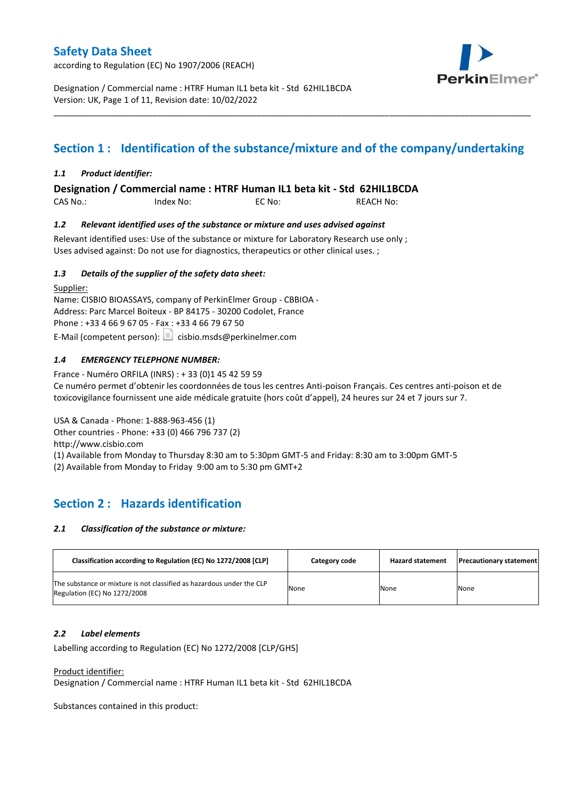according to Regulation (EC) No 1907/2006 (REACH)



Designation / Commercial name : HTRF Human IL1 beta kit - Std 62HIL1BCDA Version: UK, Page 1 of 11, Revision date: 10/02/2022

# **Section 1 : Identification of the substance/mixture and of the company/undertaking**

\_\_\_\_\_\_\_\_\_\_\_\_\_\_\_\_\_\_\_\_\_\_\_\_\_\_\_\_\_\_\_\_\_\_\_\_\_\_\_\_\_\_\_\_\_\_\_\_\_\_\_\_\_\_\_\_\_\_\_\_\_\_\_\_\_\_\_\_\_\_\_\_\_\_\_\_\_\_\_\_\_\_\_\_\_\_\_\_\_\_\_\_\_\_\_\_\_\_\_\_\_

### *1.1 Product identifier:*

**Designation / Commercial name : HTRF Human IL1 beta kit - Std 62HIL1BCDA** 

CAS No.: Index No: EC No: REACH No:

### *1.2 Relevant identified uses of the substance or mixture and uses advised against*

Relevant identified uses: Use of the substance or mixture for Laboratory Research use only ; Uses advised against: Do not use for diagnostics, therapeutics or other clinical uses. ;

### *1.3 Details of the supplier of the safety data sheet:*

Supplier: Name: CISBIO BIOASSAYS, company of PerkinElmer Group - CBBIOA - Address: Parc Marcel Boiteux - BP 84175 - 30200 Codolet, France Phone : +33 4 66 9 67 05 - Fax : +33 4 66 79 67 50 E-Mail (competent person):  $\boxed{\equiv}$  cisbio.msds@perkinelmer.com

### *1.4 EMERGENCY TELEPHONE NUMBER:*

France - Numéro ORFILA (INRS) : + 33 (0)1 45 42 59 59 Ce numéro permet d'obtenir les coordonnées de tous les centres Anti-poison Français. Ces centres anti-poison et de toxicovigilance fournissent une aide médicale gratuite (hors coût d'appel), 24 heures sur 24 et 7 jours sur 7.

USA & Canada - Phone: 1-888-963-456 (1) Other countries - Phone: +33 (0) 466 796 737 (2)

http://www.cisbio.com

(1) Available from Monday to Thursday 8:30 am to 5:30pm GMT-5 and Friday: 8:30 am to 3:00pm GMT-5

(2) Available from Monday to Friday 9:00 am to 5:30 pm GMT+2

# **Section 2 : Hazards identification**

#### *2.1 Classification of the substance or mixture:*

| Classification according to Regulation (EC) No 1272/2008 [CLP]                                        | Category code | <b>Hazard statement</b> | <b>Precautionary statement</b> |
|-------------------------------------------------------------------------------------------------------|---------------|-------------------------|--------------------------------|
| The substance or mixture is not classified as hazardous under the CLP<br>Regulation (EC) No 1272/2008 | None          | None                    | None                           |

#### *2.2 Label elements*

Labelling according to Regulation (EC) No 1272/2008 [CLP/GHS]

Product identifier:

Designation / Commercial name : HTRF Human IL1 beta kit - Std 62HIL1BCDA

Substances contained in this product: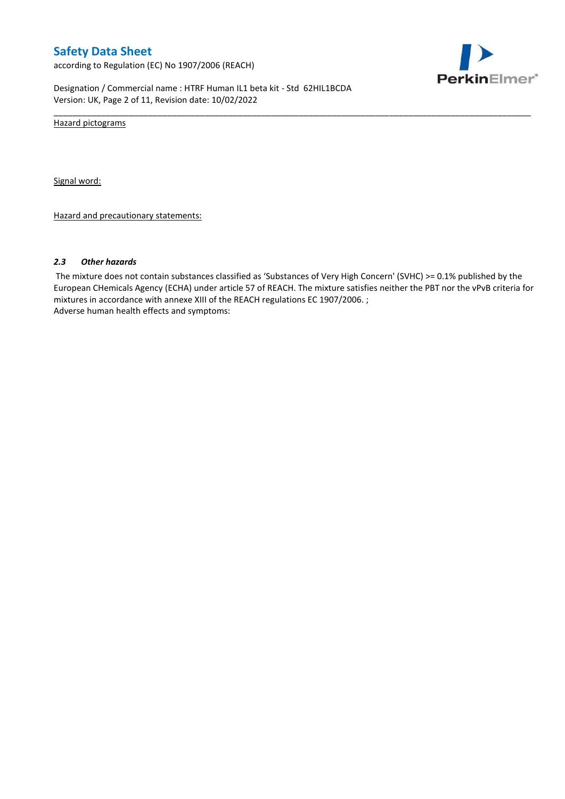according to Regulation (EC) No 1907/2006 (REACH)



Designation / Commercial name : HTRF Human IL1 beta kit - Std 62HIL1BCDA Version: UK, Page 2 of 11, Revision date: 10/02/2022

Hazard pictograms

Signal word:

Hazard and precautionary statements:

#### *2.3 Other hazards*

The mixture does not contain substances classified as 'Substances of Very High Concern' (SVHC) >= 0.1% published by the European CHemicals Agency (ECHA) under article 57 of REACH. The mixture satisfies neither the PBT nor the vPvB criteria for mixtures in accordance with annexe XIII of the REACH regulations EC 1907/2006. ; Adverse human health effects and symptoms:

\_\_\_\_\_\_\_\_\_\_\_\_\_\_\_\_\_\_\_\_\_\_\_\_\_\_\_\_\_\_\_\_\_\_\_\_\_\_\_\_\_\_\_\_\_\_\_\_\_\_\_\_\_\_\_\_\_\_\_\_\_\_\_\_\_\_\_\_\_\_\_\_\_\_\_\_\_\_\_\_\_\_\_\_\_\_\_\_\_\_\_\_\_\_\_\_\_\_\_\_\_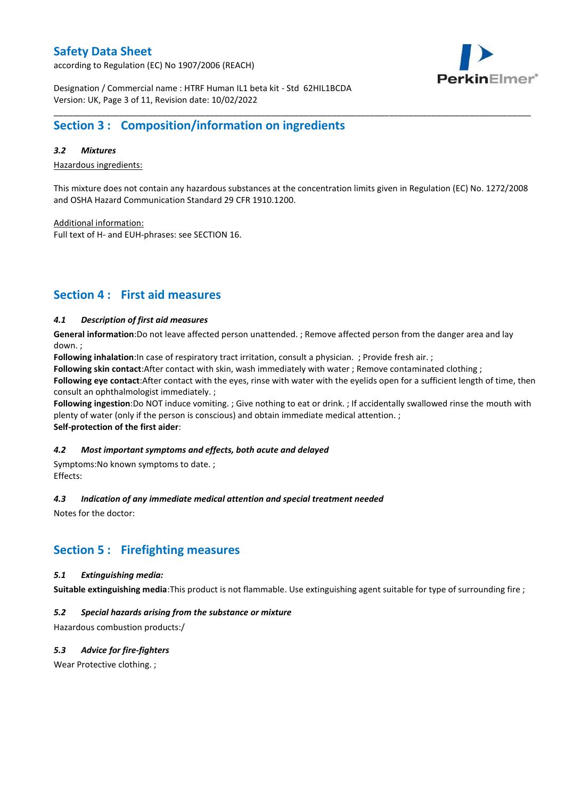according to Regulation (EC) No 1907/2006 (REACH)



Designation / Commercial name : HTRF Human IL1 beta kit - Std 62HIL1BCDA Version: UK, Page 3 of 11, Revision date: 10/02/2022

## **Section 3 : Composition/information on ingredients**

#### *3.2 Mixtures*

Hazardous ingredients:

This mixture does not contain any hazardous substances at the concentration limits given in Regulation (EC) No. 1272/2008 and OSHA Hazard Communication Standard 29 CFR 1910.1200.

\_\_\_\_\_\_\_\_\_\_\_\_\_\_\_\_\_\_\_\_\_\_\_\_\_\_\_\_\_\_\_\_\_\_\_\_\_\_\_\_\_\_\_\_\_\_\_\_\_\_\_\_\_\_\_\_\_\_\_\_\_\_\_\_\_\_\_\_\_\_\_\_\_\_\_\_\_\_\_\_\_\_\_\_\_\_\_\_\_\_\_\_\_\_\_\_\_\_\_\_\_

Additional information:

Full text of H- and EUH-phrases: see SECTION 16.

### **Section 4 : First aid measures**

### *4.1 Description of first aid measures*

**General information**:Do not leave affected person unattended. ; Remove affected person from the danger area and lay down. ;

**Following inhalation**:In case of respiratory tract irritation, consult a physician. ; Provide fresh air. ;

**Following skin contact**:After contact with skin, wash immediately with water ; Remove contaminated clothing ;

**Following eye contact**:After contact with the eyes, rinse with water with the eyelids open for a sufficient length of time, then consult an ophthalmologist immediately. ;

**Following ingestion**:Do NOT induce vomiting. ; Give nothing to eat or drink. ; If accidentally swallowed rinse the mouth with plenty of water (only if the person is conscious) and obtain immediate medical attention. ; **Self-protection of the first aider**:

#### *4.2 Most important symptoms and effects, both acute and delayed*

Symptoms:No known symptoms to date. ; Effects:

#### *4.3 Indication of any immediate medical attention and special treatment needed*

Notes for the doctor:

### **Section 5 : Firefighting measures**

#### *5.1 Extinguishing media:*

**Suitable extinguishing media**:This product is not flammable. Use extinguishing agent suitable for type of surrounding fire ;

### *5.2 Special hazards arising from the substance or mixture*

Hazardous combustion products:/

### *5.3 Advice for fire-fighters*

Wear Protective clothing.;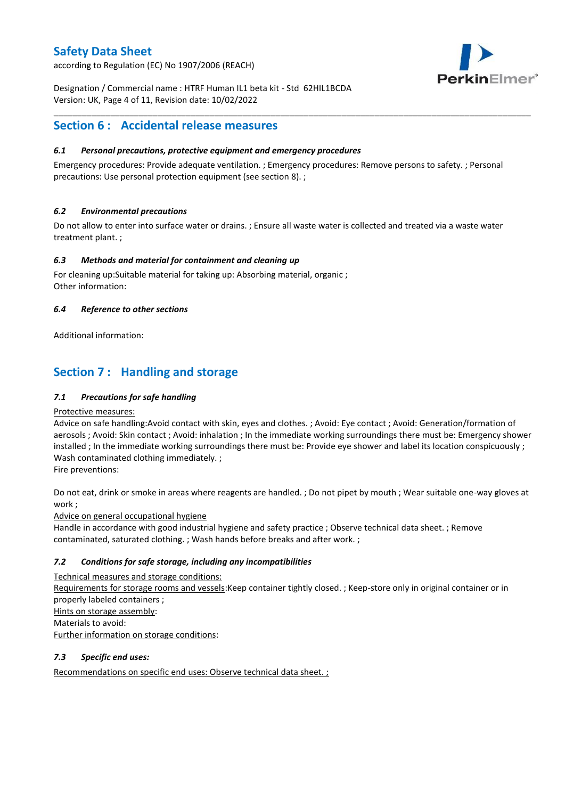according to Regulation (EC) No 1907/2006 (REACH)



Designation / Commercial name : HTRF Human IL1 beta kit - Std 62HIL1BCDA Version: UK, Page 4 of 11, Revision date: 10/02/2022

### **Section 6 : Accidental release measures**

### *6.1 Personal precautions, protective equipment and emergency procedures*

Emergency procedures: Provide adequate ventilation. ; Emergency procedures: Remove persons to safety. ; Personal precautions: Use personal protection equipment (see section 8). ;

\_\_\_\_\_\_\_\_\_\_\_\_\_\_\_\_\_\_\_\_\_\_\_\_\_\_\_\_\_\_\_\_\_\_\_\_\_\_\_\_\_\_\_\_\_\_\_\_\_\_\_\_\_\_\_\_\_\_\_\_\_\_\_\_\_\_\_\_\_\_\_\_\_\_\_\_\_\_\_\_\_\_\_\_\_\_\_\_\_\_\_\_\_\_\_\_\_\_\_\_\_

### *6.2 Environmental precautions*

Do not allow to enter into surface water or drains. ; Ensure all waste water is collected and treated via a waste water treatment plant. ;

### *6.3 Methods and material for containment and cleaning up*

For cleaning up:Suitable material for taking up: Absorbing material, organic ; Other information:

### *6.4 Reference to other sections*

Additional information:

# **Section 7 : Handling and storage**

### *7.1 Precautions for safe handling*

#### Protective measures:

Advice on safe handling:Avoid contact with skin, eyes and clothes. ; Avoid: Eye contact ; Avoid: Generation/formation of aerosols ; Avoid: Skin contact ; Avoid: inhalation ; In the immediate working surroundings there must be: Emergency shower installed ; In the immediate working surroundings there must be: Provide eye shower and label its location conspicuously ; Wash contaminated clothing immediately. ;

Fire preventions:

Do not eat, drink or smoke in areas where reagents are handled. ; Do not pipet by mouth ; Wear suitable one-way gloves at work ;

Advice on general occupational hygiene

Handle in accordance with good industrial hygiene and safety practice ; Observe technical data sheet. ; Remove contaminated, saturated clothing. ; Wash hands before breaks and after work. ;

### *7.2 Conditions for safe storage, including any incompatibilities*

Technical measures and storage conditions: Requirements for storage rooms and vessels:Keep container tightly closed. ; Keep-store only in original container or in properly labeled containers ; Hints on storage assembly: Materials to avoid: Further information on storage conditions:

### *7.3 Specific end uses:*

Recommendations on specific end uses: Observe technical data sheet. ;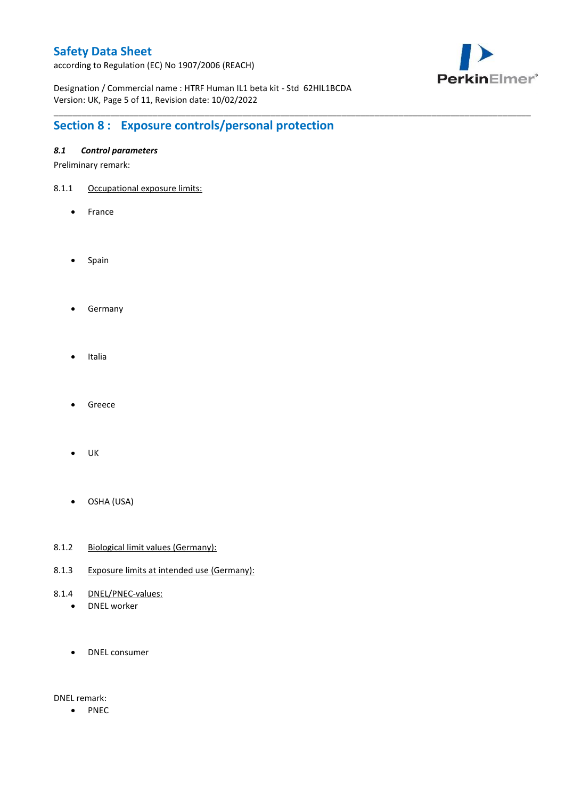according to Regulation (EC) No 1907/2006 (REACH)



Designation / Commercial name : HTRF Human IL1 beta kit - Std 62HIL1BCDA Version: UK, Page 5 of 11, Revision date: 10/02/2022

\_\_\_\_\_\_\_\_\_\_\_\_\_\_\_\_\_\_\_\_\_\_\_\_\_\_\_\_\_\_\_\_\_\_\_\_\_\_\_\_\_\_\_\_\_\_\_\_\_\_\_\_\_\_\_\_\_\_\_\_\_\_\_\_\_\_\_\_\_\_\_\_\_\_\_\_\_\_\_\_\_\_\_\_\_\_\_\_\_\_\_\_\_\_\_\_\_\_\_\_\_

# **Section 8 : Exposure controls/personal protection**

### *8.1 Control parameters*

Preliminary remark:

- 8.1.1 Occupational exposure limits:
	- France
	- Spain
	- **•** Germany
	- Italia
	- Greece
	- $\bullet$  UK
	- OSHA (USA)
- 8.1.2 Biological limit values (Germany):
- 8.1.3 Exposure limits at intended use (Germany):
- 8.1.4 DNEL/PNEC-values:
	- DNEL worker
	- DNEL consumer

DNEL remark:

• PNEC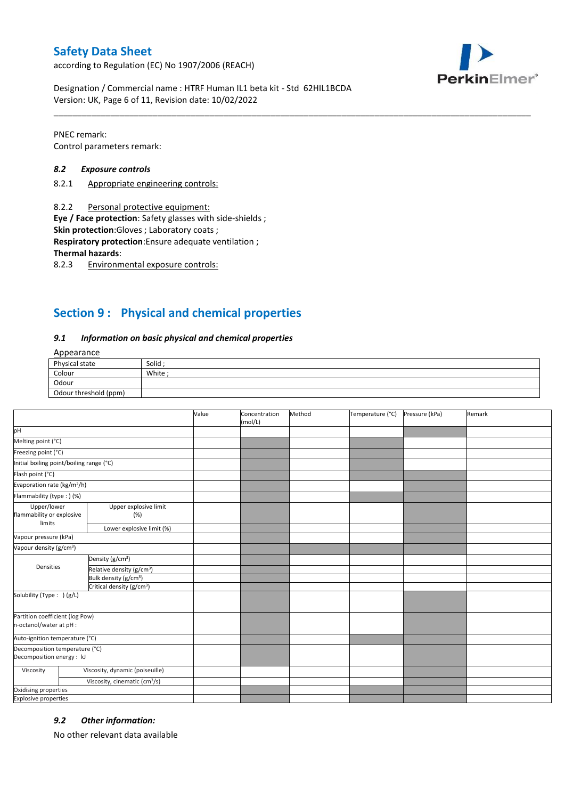according to Regulation (EC) No 1907/2006 (REACH)



Designation / Commercial name : HTRF Human IL1 beta kit - Std 62HIL1BCDA Version: UK, Page 6 of 11, Revision date: 10/02/2022

PNEC remark: Control parameters remark:

#### *8.2 Exposure controls*

- 8.2.1 Appropriate engineering controls:
- 8.2.2 Personal protective equipment:

**Eye / Face protection**: Safety glasses with side-shields ;

**Skin protection**:Gloves ; Laboratory coats ;

**Respiratory protection**:Ensure adequate ventilation ;

**Thermal hazards**:

8.2.3 Environmental exposure controls:

## **Section 9 : Physical and chemical properties**

#### *9.1 Information on basic physical and chemical properties*

### **Annearance**

| Physical state        | Solid  |
|-----------------------|--------|
| Colour                | White; |
| Odour                 |        |
| Odour threshold (ppm) |        |

\_\_\_\_\_\_\_\_\_\_\_\_\_\_\_\_\_\_\_\_\_\_\_\_\_\_\_\_\_\_\_\_\_\_\_\_\_\_\_\_\_\_\_\_\_\_\_\_\_\_\_\_\_\_\_\_\_\_\_\_\_\_\_\_\_\_\_\_\_\_\_\_\_\_\_\_\_\_\_\_\_\_\_\_\_\_\_\_\_\_\_\_\_\_\_\_\_\_\_\_\_

|                                                             |                                           | Value | Concentration<br>(mol/L) | Method | Temperature (°C) | Pressure (kPa) | Remark |
|-------------------------------------------------------------|-------------------------------------------|-------|--------------------------|--------|------------------|----------------|--------|
| pH                                                          |                                           |       |                          |        |                  |                |        |
| Melting point (°C)                                          |                                           |       |                          |        |                  |                |        |
| Freezing point (°C)                                         |                                           |       |                          |        |                  |                |        |
| Initial boiling point/boiling range (°C)                    |                                           |       |                          |        |                  |                |        |
| Flash point (°C)                                            |                                           |       |                          |        |                  |                |        |
| Evaporation rate (kg/m <sup>2</sup> /h)                     |                                           |       |                          |        |                  |                |        |
| Flammability (type: ) (%)                                   |                                           |       |                          |        |                  |                |        |
| Upper/lower<br>flammability or explosive<br>limits          | Upper explosive limit<br>(%)              |       |                          |        |                  |                |        |
|                                                             | Lower explosive limit (%)                 |       |                          |        |                  |                |        |
| Vapour pressure (kPa)                                       |                                           |       |                          |        |                  |                |        |
| Vapour density (g/cm <sup>3</sup> )                         |                                           |       |                          |        |                  |                |        |
|                                                             | Density (g/cm <sup>3</sup> )              |       |                          |        |                  |                |        |
| Densities                                                   | Relative density (g/cm <sup>3</sup> )     |       |                          |        |                  |                |        |
|                                                             | Bulk density (g/cm <sup>3</sup> )         |       |                          |        |                  |                |        |
|                                                             | Critical density (g/cm <sup>3</sup> )     |       |                          |        |                  |                |        |
| Solubility (Type: ) (g/L)                                   |                                           |       |                          |        |                  |                |        |
| Partition coefficient (log Pow)<br>n-octanol/water at pH :  |                                           |       |                          |        |                  |                |        |
| Auto-ignition temperature (°C)                              |                                           |       |                          |        |                  |                |        |
| Decomposition temperature (°C)<br>Decomposition energy : kJ |                                           |       |                          |        |                  |                |        |
| Viscosity                                                   | Viscosity, dynamic (poiseuille)           |       |                          |        |                  |                |        |
|                                                             | Viscosity, cinematic (cm <sup>3</sup> /s) |       |                          |        |                  |                |        |
| Oxidising properties                                        |                                           |       |                          |        |                  |                |        |
| <b>Explosive properties</b>                                 |                                           |       |                          |        |                  |                |        |

#### *9.2 Other information:*

No other relevant data available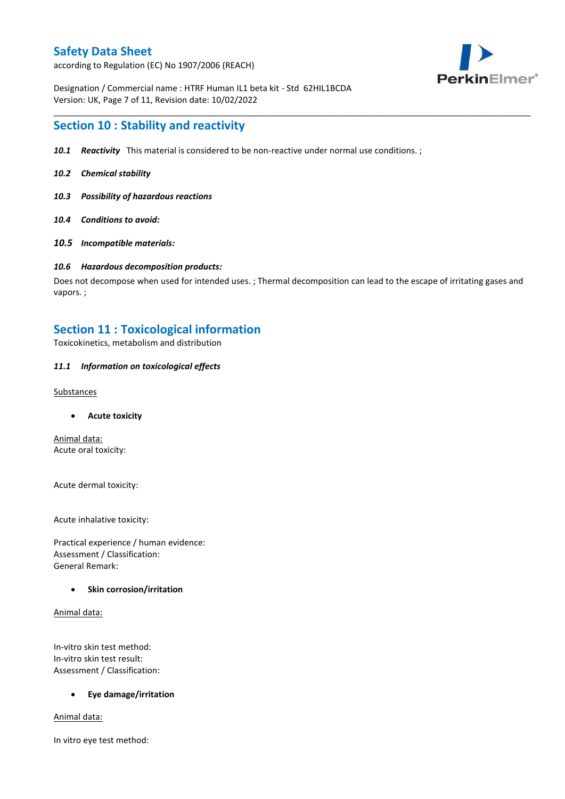according to Regulation (EC) No 1907/2006 (REACH)



Designation / Commercial name : HTRF Human IL1 beta kit - Std 62HIL1BCDA Version: UK, Page 7 of 11, Revision date: 10/02/2022

### **Section 10 : Stability and reactivity**

- *10.1 Reactivity* This material is considered to be non-reactive under normal use conditions. ;
- *10.2 Chemical stability*
- *10.3 Possibility of hazardous reactions*
- *10.4 Conditions to avoid:*
- *10.5 Incompatible materials:*

#### *10.6 Hazardous decomposition products:*

Does not decompose when used for intended uses. ; Thermal decomposition can lead to the escape of irritating gases and vapors. ;

\_\_\_\_\_\_\_\_\_\_\_\_\_\_\_\_\_\_\_\_\_\_\_\_\_\_\_\_\_\_\_\_\_\_\_\_\_\_\_\_\_\_\_\_\_\_\_\_\_\_\_\_\_\_\_\_\_\_\_\_\_\_\_\_\_\_\_\_\_\_\_\_\_\_\_\_\_\_\_\_\_\_\_\_\_\_\_\_\_\_\_\_\_\_\_\_\_\_\_\_\_

### **Section 11 : Toxicological information**

Toxicokinetics, metabolism and distribution

#### *11.1 Information on toxicological effects*

#### **Substances**

**Acute toxicity**

Animal data: Acute oral toxicity:

Acute dermal toxicity:

Acute inhalative toxicity:

Practical experience / human evidence: Assessment / Classification: General Remark:

#### **Skin corrosion/irritation**

Animal data:

In-vitro skin test method: In-vitro skin test result: Assessment / Classification:

#### **Eye damage/irritation**

Animal data:

In vitro eye test method: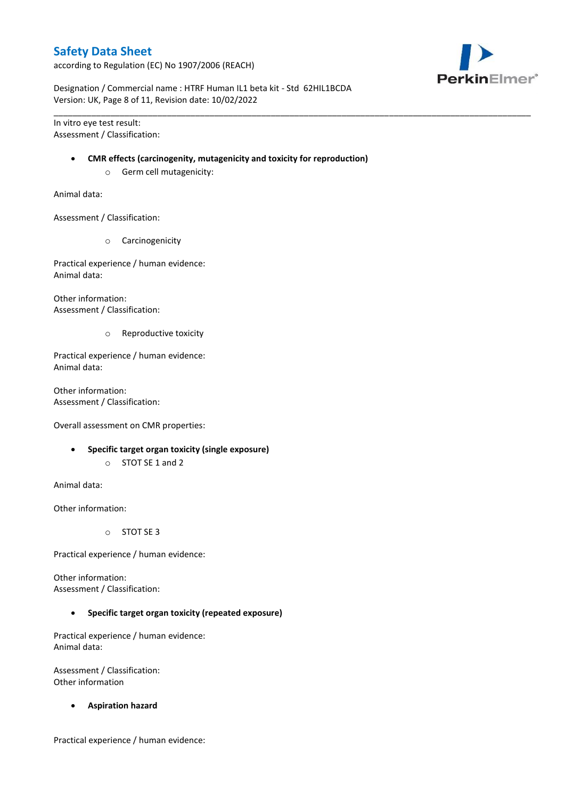according to Regulation (EC) No 1907/2006 (REACH)



Designation / Commercial name : HTRF Human IL1 beta kit - Std 62HIL1BCDA Version: UK, Page 8 of 11, Revision date: 10/02/2022

In vitro eye test result: Assessment / Classification:

#### **CMR effects (carcinogenity, mutagenicity and toxicity for reproduction)**

\_\_\_\_\_\_\_\_\_\_\_\_\_\_\_\_\_\_\_\_\_\_\_\_\_\_\_\_\_\_\_\_\_\_\_\_\_\_\_\_\_\_\_\_\_\_\_\_\_\_\_\_\_\_\_\_\_\_\_\_\_\_\_\_\_\_\_\_\_\_\_\_\_\_\_\_\_\_\_\_\_\_\_\_\_\_\_\_\_\_\_\_\_\_\_\_\_\_\_\_\_

o Germ cell mutagenicity:

Animal data:

Assessment / Classification:

o Carcinogenicity

Practical experience / human evidence: Animal data:

Other information: Assessment / Classification:

o Reproductive toxicity

Practical experience / human evidence: Animal data:

Other information: Assessment / Classification:

Overall assessment on CMR properties:

- **Specific target organ toxicity (single exposure)**
	- o STOT SE 1 and 2

Animal data:

Other information:

o STOT SE 3

Practical experience / human evidence:

Other information: Assessment / Classification:

**Specific target organ toxicity (repeated exposure)**

Practical experience / human evidence: Animal data:

Assessment / Classification: Other information

**Aspiration hazard**

Practical experience / human evidence: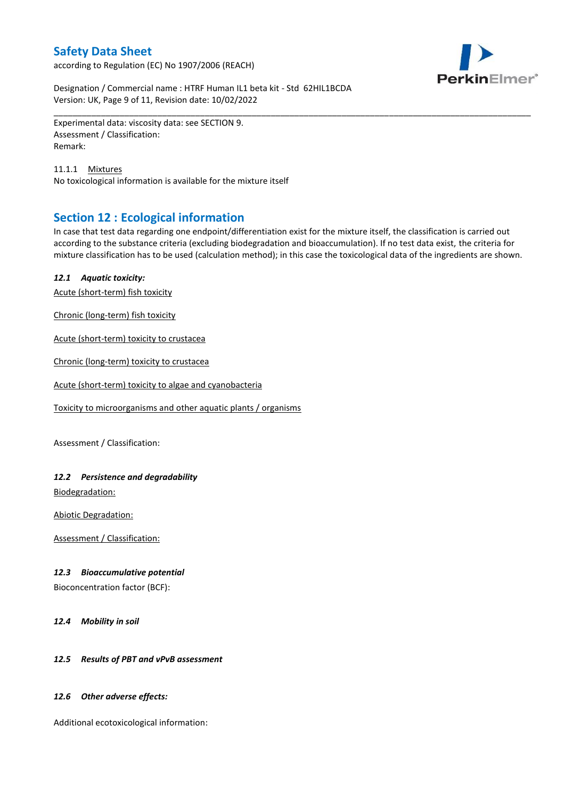according to Regulation (EC) No 1907/2006 (REACH)



Designation / Commercial name : HTRF Human IL1 beta kit - Std 62HIL1BCDA Version: UK, Page 9 of 11, Revision date: 10/02/2022

Experimental data: viscosity data: see SECTION 9. Assessment / Classification: Remark:

11.1.1 Mixtures No toxicological information is available for the mixture itself

# **Section 12 : Ecological information**

In case that test data regarding one endpoint/differentiation exist for the mixture itself, the classification is carried out according to the substance criteria (excluding biodegradation and bioaccumulation). If no test data exist, the criteria for mixture classification has to be used (calculation method); in this case the toxicological data of the ingredients are shown.

\_\_\_\_\_\_\_\_\_\_\_\_\_\_\_\_\_\_\_\_\_\_\_\_\_\_\_\_\_\_\_\_\_\_\_\_\_\_\_\_\_\_\_\_\_\_\_\_\_\_\_\_\_\_\_\_\_\_\_\_\_\_\_\_\_\_\_\_\_\_\_\_\_\_\_\_\_\_\_\_\_\_\_\_\_\_\_\_\_\_\_\_\_\_\_\_\_\_\_\_\_

### *12.1 Aquatic toxicity:*

Acute (short-term) fish toxicity

Chronic (long-term) fish toxicity

Acute (short-term) toxicity to crustacea

Chronic (long-term) toxicity to crustacea

Acute (short-term) toxicity to algae and cyanobacteria

Toxicity to microorganisms and other aquatic plants / organisms

Assessment / Classification:

### *12.2 Persistence and degradability*

Biodegradation:

Abiotic Degradation:

Assessment / Classification:

#### *12.3 Bioaccumulative potential*

Bioconcentration factor (BCF):

*12.4 Mobility in soil*

### *12.5 Results of PBT and vPvB assessment*

#### *12.6 Other adverse effects:*

Additional ecotoxicological information: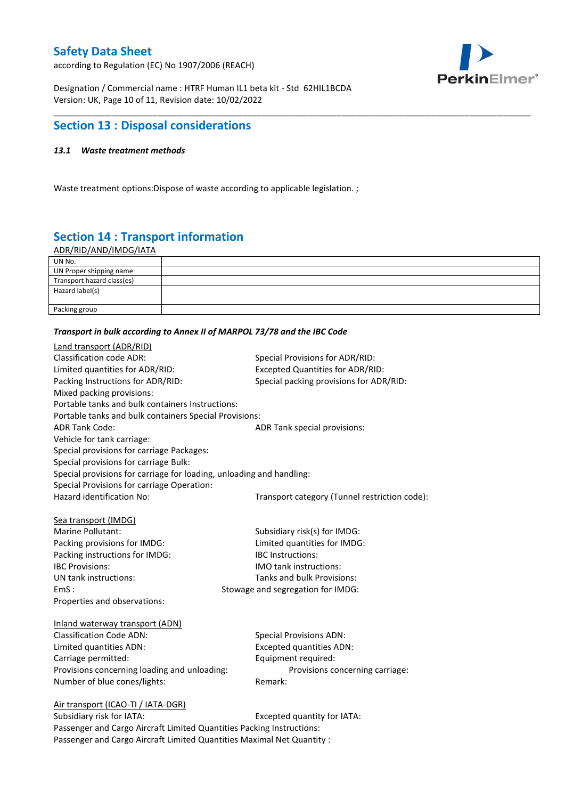according to Regulation (EC) No 1907/2006 (REACH)



Designation / Commercial name : HTRF Human IL1 beta kit - Std 62HIL1BCDA Version: UK, Page 10 of 11, Revision date: 10/02/2022

### **Section 13 : Disposal considerations**

### *13.1 Waste treatment methods*

Waste treatment options:Dispose of waste according to applicable legislation. ;

# **Section 14 : Transport information**

ADR/RID/AND/IMDG/IATA

| UN No.                     |  |
|----------------------------|--|
| UN Proper shipping name    |  |
| Transport hazard class(es) |  |
| Hazard label(s)            |  |
|                            |  |
| Packing group              |  |

\_\_\_\_\_\_\_\_\_\_\_\_\_\_\_\_\_\_\_\_\_\_\_\_\_\_\_\_\_\_\_\_\_\_\_\_\_\_\_\_\_\_\_\_\_\_\_\_\_\_\_\_\_\_\_\_\_\_\_\_\_\_\_\_\_\_\_\_\_\_\_\_\_\_\_\_\_\_\_\_\_\_\_\_\_\_\_\_\_\_\_\_\_\_\_\_\_\_\_\_\_

#### *Transport in bulk according to Annex II of MARPOL 73/78 and the IBC Code*

| Land transport (ADR/RID)                                             |                                               |
|----------------------------------------------------------------------|-----------------------------------------------|
| <b>Classification code ADR:</b>                                      | Special Provisions for ADR/RID:               |
| Limited quantities for ADR/RID:                                      | <b>Excepted Quantities for ADR/RID:</b>       |
| Packing Instructions for ADR/RID:                                    | Special packing provisions for ADR/RID:       |
| Mixed packing provisions:                                            |                                               |
| Portable tanks and bulk containers Instructions:                     |                                               |
| Portable tanks and bulk containers Special Provisions:               |                                               |
| <b>ADR Tank Code:</b>                                                | ADR Tank special provisions:                  |
| Vehicle for tank carriage:                                           |                                               |
| Special provisions for carriage Packages:                            |                                               |
| Special provisions for carriage Bulk:                                |                                               |
| Special provisions for carriage for loading, unloading and handling: |                                               |
| Special Provisions for carriage Operation:                           |                                               |
| Hazard identification No:                                            | Transport category (Tunnel restriction code): |
|                                                                      |                                               |
| Sea transport (IMDG)                                                 |                                               |
| Marine Pollutant:                                                    | Subsidiary risk(s) for IMDG:                  |
| Packing provisions for IMDG:                                         | Limited quantities for IMDG:                  |
| Packing instructions for IMDG:                                       | <b>IBC</b> Instructions:                      |
| <b>IBC Provisions:</b>                                               | IMO tank instructions:                        |
| UN tank instructions:                                                | Tanks and bulk Provisions:                    |
| EmS:                                                                 | Stowage and segregation for IMDG:             |
| Properties and observations:                                         |                                               |
| Inland waterway transport (ADN)                                      |                                               |
| <b>Classification Code ADN:</b>                                      | <b>Special Provisions ADN:</b>                |
| Limited quantities ADN:                                              | <b>Excepted quantities ADN:</b>               |
| Carriage permitted:                                                  | Equipment required:                           |
| Provisions concerning loading and unloading:                         | Provisions concerning carriage:               |
| Number of blue cones/lights:                                         | Remark:                                       |
|                                                                      |                                               |
| Air transport (ICAO-TI / IATA-DGR)                                   |                                               |
| Subsidiary risk for IATA.                                            | Excented quantity for IATA.                   |

Subsidiary risk for IATA: Excepted quantity for IATA: Passenger and Cargo Aircraft Limited Quantities Packing Instructions: Passenger and Cargo Aircraft Limited Quantities Maximal Net Quantity :